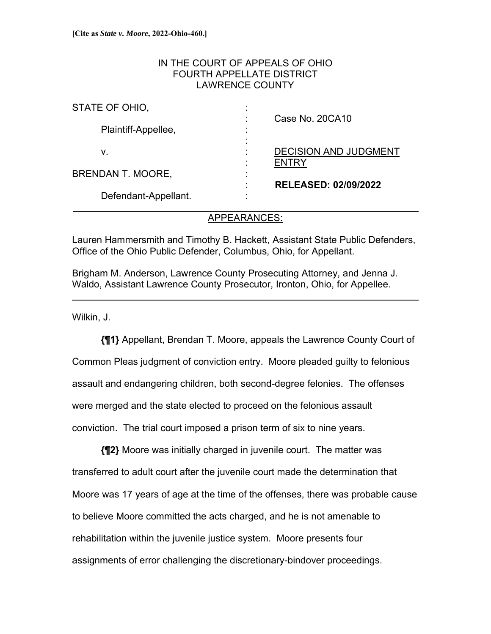# IN THE COURT OF APPEALS OF OHIO FOURTH APPELLATE DISTRICT LAWRENCE COUNTY

| STATE OF OHIO,           | $\blacksquare$                                                       |
|--------------------------|----------------------------------------------------------------------|
| Plaintiff-Appellee,      | Case No. 20CA10<br>٠<br>$\blacksquare$<br>٠                          |
| v.                       | <b>DECISION AND JUDGMENT</b><br>٠                                    |
| <b>BRENDAN T. MOORE,</b> | <b>ENTRY</b><br>٠<br>$\overline{\phantom{a}}$<br>٠<br>$\blacksquare$ |
| Defendant-Appellant.     | <b>RELEASED: 02/09/2022</b><br>٠<br>٠<br>$\bullet$                   |

# APPEARANCES:

Lauren Hammersmith and Timothy B. Hackett, Assistant State Public Defenders, Office of the Ohio Public Defender, Columbus, Ohio, for Appellant.

Brigham M. Anderson, Lawrence County Prosecuting Attorney, and Jenna J. Waldo, Assistant Lawrence County Prosecutor, Ironton, Ohio, for Appellee.

Wilkin, J.

 $\overline{a}$ 

**{¶1}** Appellant, Brendan T. Moore, appeals the Lawrence County Court of Common Pleas judgment of conviction entry. Moore pleaded guilty to felonious assault and endangering children, both second-degree felonies. The offenses were merged and the state elected to proceed on the felonious assault conviction. The trial court imposed a prison term of six to nine years.

**{¶2}** Moore was initially charged in juvenile court. The matter was transferred to adult court after the juvenile court made the determination that Moore was 17 years of age at the time of the offenses, there was probable cause to believe Moore committed the acts charged, and he is not amenable to rehabilitation within the juvenile justice system. Moore presents four assignments of error challenging the discretionary-bindover proceedings.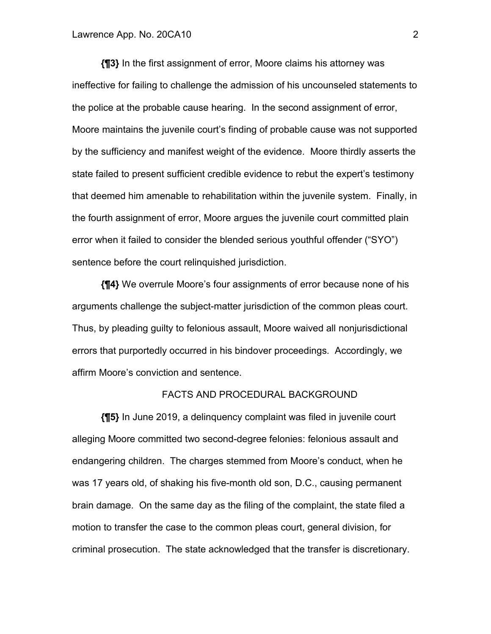**{¶3}** In the first assignment of error, Moore claims his attorney was ineffective for failing to challenge the admission of his uncounseled statements to the police at the probable cause hearing. In the second assignment of error, Moore maintains the juvenile court's finding of probable cause was not supported by the sufficiency and manifest weight of the evidence. Moore thirdly asserts the state failed to present sufficient credible evidence to rebut the expert's testimony that deemed him amenable to rehabilitation within the juvenile system. Finally, in the fourth assignment of error, Moore argues the juvenile court committed plain error when it failed to consider the blended serious youthful offender ("SYO") sentence before the court relinquished jurisdiction.

**{¶4}** We overrule Moore's four assignments of error because none of his arguments challenge the subject-matter jurisdiction of the common pleas court. Thus, by pleading guilty to felonious assault, Moore waived all nonjurisdictional errors that purportedly occurred in his bindover proceedings. Accordingly, we affirm Moore's conviction and sentence.

#### FACTS AND PROCEDURAL BACKGROUND

**{¶5}** In June 2019, a delinquency complaint was filed in juvenile court alleging Moore committed two second-degree felonies: felonious assault and endangering children. The charges stemmed from Moore's conduct, when he was 17 years old, of shaking his five-month old son, D.C., causing permanent brain damage. On the same day as the filing of the complaint, the state filed a motion to transfer the case to the common pleas court, general division, for criminal prosecution. The state acknowledged that the transfer is discretionary.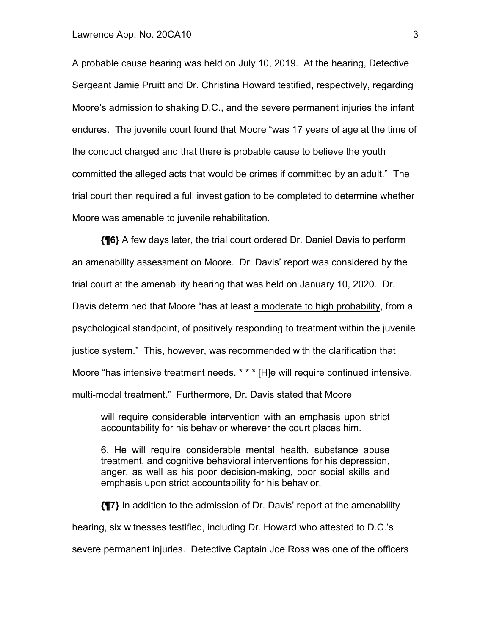A probable cause hearing was held on July 10, 2019. At the hearing, Detective Sergeant Jamie Pruitt and Dr. Christina Howard testified, respectively, regarding Moore's admission to shaking D.C., and the severe permanent injuries the infant endures. The juvenile court found that Moore "was 17 years of age at the time of the conduct charged and that there is probable cause to believe the youth committed the alleged acts that would be crimes if committed by an adult." The trial court then required a full investigation to be completed to determine whether Moore was amenable to juvenile rehabilitation.

**{¶6}** A few days later, the trial court ordered Dr. Daniel Davis to perform an amenability assessment on Moore. Dr. Davis' report was considered by the trial court at the amenability hearing that was held on January 10, 2020. Dr. Davis determined that Moore "has at least a moderate to high probability, from a psychological standpoint, of positively responding to treatment within the juvenile justice system." This, however, was recommended with the clarification that Moore "has intensive treatment needs. \* \* \* [H]e will require continued intensive, multi-modal treatment." Furthermore, Dr. Davis stated that Moore

will require considerable intervention with an emphasis upon strict accountability for his behavior wherever the court places him.

6. He will require considerable mental health, substance abuse treatment, and cognitive behavioral interventions for his depression, anger, as well as his poor decision-making, poor social skills and emphasis upon strict accountability for his behavior.

**{¶7}** In addition to the admission of Dr. Davis' report at the amenability hearing, six witnesses testified, including Dr. Howard who attested to D.C.'s severe permanent injuries. Detective Captain Joe Ross was one of the officers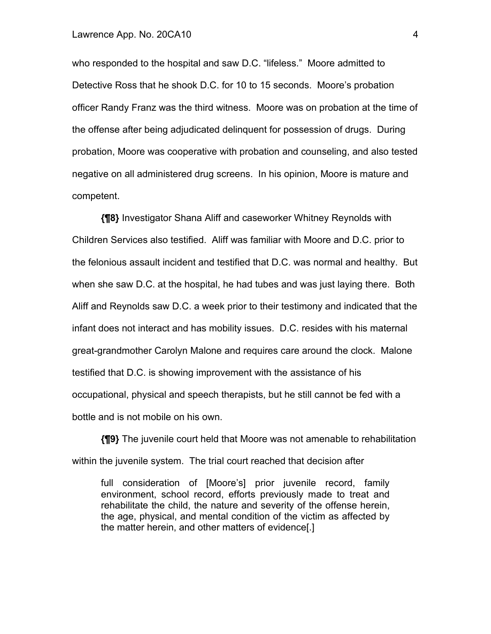who responded to the hospital and saw D.C. "lifeless." Moore admitted to Detective Ross that he shook D.C. for 10 to 15 seconds. Moore's probation officer Randy Franz was the third witness. Moore was on probation at the time of the offense after being adjudicated delinquent for possession of drugs. During probation, Moore was cooperative with probation and counseling, and also tested negative on all administered drug screens. In his opinion, Moore is mature and competent.

**{¶8}** Investigator Shana Aliff and caseworker Whitney Reynolds with Children Services also testified. Aliff was familiar with Moore and D.C. prior to the felonious assault incident and testified that D.C. was normal and healthy. But when she saw D.C. at the hospital, he had tubes and was just laying there. Both Aliff and Reynolds saw D.C. a week prior to their testimony and indicated that the infant does not interact and has mobility issues. D.C. resides with his maternal great-grandmother Carolyn Malone and requires care around the clock. Malone testified that D.C. is showing improvement with the assistance of his occupational, physical and speech therapists, but he still cannot be fed with a bottle and is not mobile on his own.

**{¶9}** The juvenile court held that Moore was not amenable to rehabilitation within the juvenile system. The trial court reached that decision after

full consideration of [Moore's] prior juvenile record, family environment, school record, efforts previously made to treat and rehabilitate the child, the nature and severity of the offense herein, the age, physical, and mental condition of the victim as affected by the matter herein, and other matters of evidence[.]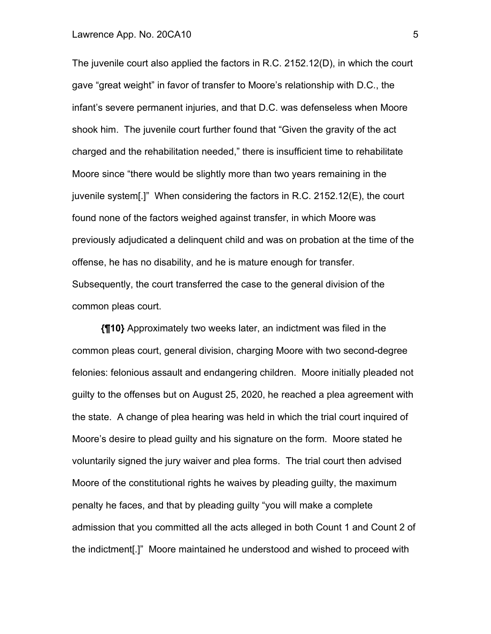The juvenile court also applied the factors in R.C. 2152.12(D), in which the court gave "great weight" in favor of transfer to Moore's relationship with D.C., the infant's severe permanent injuries, and that D.C. was defenseless when Moore shook him. The juvenile court further found that "Given the gravity of the act charged and the rehabilitation needed," there is insufficient time to rehabilitate Moore since "there would be slightly more than two years remaining in the juvenile system[.]" When considering the factors in R.C. 2152.12(E), the court found none of the factors weighed against transfer, in which Moore was previously adjudicated a delinquent child and was on probation at the time of the offense, he has no disability, and he is mature enough for transfer. Subsequently, the court transferred the case to the general division of the common pleas court.

**{¶10}** Approximately two weeks later, an indictment was filed in the common pleas court, general division, charging Moore with two second-degree felonies: felonious assault and endangering children. Moore initially pleaded not guilty to the offenses but on August 25, 2020, he reached a plea agreement with the state. A change of plea hearing was held in which the trial court inquired of Moore's desire to plead guilty and his signature on the form. Moore stated he voluntarily signed the jury waiver and plea forms. The trial court then advised Moore of the constitutional rights he waives by pleading guilty, the maximum penalty he faces, and that by pleading guilty "you will make a complete admission that you committed all the acts alleged in both Count 1 and Count 2 of the indictment[.]" Moore maintained he understood and wished to proceed with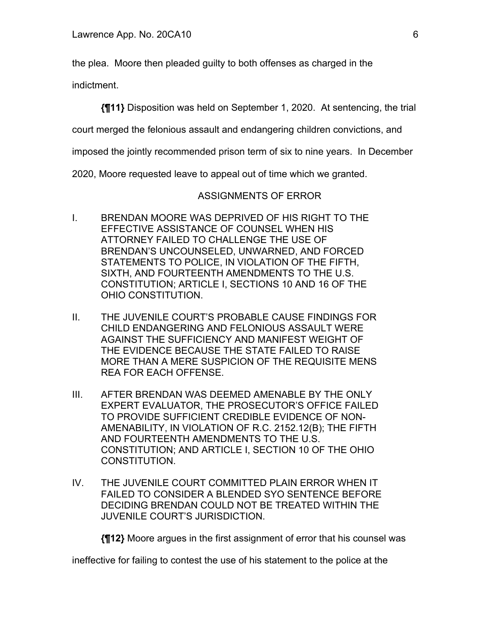the plea. Moore then pleaded guilty to both offenses as charged in the

indictment.

**{¶11}** Disposition was held on September 1, 2020. At sentencing, the trial

court merged the felonious assault and endangering children convictions, and

imposed the jointly recommended prison term of six to nine years. In December

2020, Moore requested leave to appeal out of time which we granted.

## ASSIGNMENTS OF ERROR

- I. BRENDAN MOORE WAS DEPRIVED OF HIS RIGHT TO THE EFFECTIVE ASSISTANCE OF COUNSEL WHEN HIS ATTORNEY FAILED TO CHALLENGE THE USE OF BRENDAN'S UNCOUNSELED, UNWARNED, AND FORCED STATEMENTS TO POLICE, IN VIOLATION OF THE FIFTH, SIXTH, AND FOURTEENTH AMENDMENTS TO THE U.S. CONSTITUTION; ARTICLE I, SECTIONS 10 AND 16 OF THE OHIO CONSTITUTION.
- II. THE JUVENILE COURT'S PROBABLE CAUSE FINDINGS FOR CHILD ENDANGERING AND FELONIOUS ASSAULT WERE AGAINST THE SUFFICIENCY AND MANIFEST WEIGHT OF THE EVIDENCE BECAUSE THE STATE FAILED TO RAISE MORE THAN A MERE SUSPICION OF THE REQUISITE MENS REA FOR EACH OFFENSE.
- III. AFTER BRENDAN WAS DEEMED AMENABLE BY THE ONLY EXPERT EVALUATOR, THE PROSECUTOR'S OFFICE FAILED TO PROVIDE SUFFICIENT CREDIBLE EVIDENCE OF NON-AMENABILITY, IN VIOLATION OF R.C. 2152.12(B); THE FIFTH AND FOURTEENTH AMENDMENTS TO THE U.S. CONSTITUTION; AND ARTICLE I, SECTION 10 OF THE OHIO CONSTITUTION.
- IV. THE JUVENILE COURT COMMITTED PLAIN ERROR WHEN IT FAILED TO CONSIDER A BLENDED SYO SENTENCE BEFORE DECIDING BRENDAN COULD NOT BE TREATED WITHIN THE JUVENILE COURT'S JURISDICTION.

**{¶12}** Moore argues in the first assignment of error that his counsel was

ineffective for failing to contest the use of his statement to the police at the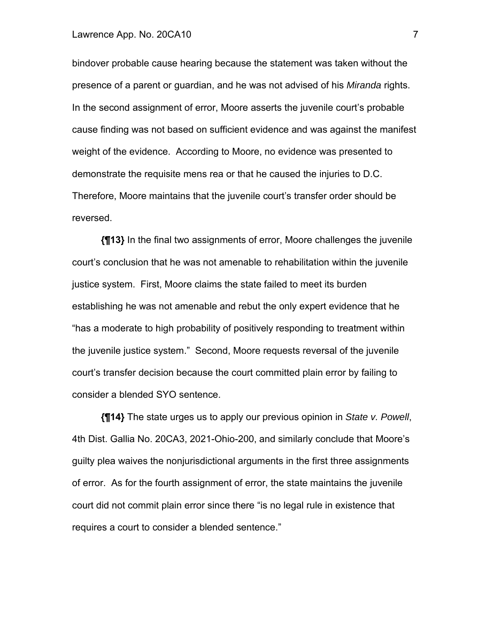bindover probable cause hearing because the statement was taken without the presence of a parent or guardian, and he was not advised of his *Miranda* rights. In the second assignment of error, Moore asserts the juvenile court's probable cause finding was not based on sufficient evidence and was against the manifest weight of the evidence. According to Moore, no evidence was presented to demonstrate the requisite mens rea or that he caused the injuries to D.C. Therefore, Moore maintains that the juvenile court's transfer order should be reversed.

**{¶13}** In the final two assignments of error, Moore challenges the juvenile court's conclusion that he was not amenable to rehabilitation within the juvenile justice system. First, Moore claims the state failed to meet its burden establishing he was not amenable and rebut the only expert evidence that he "has a moderate to high probability of positively responding to treatment within the juvenile justice system." Second, Moore requests reversal of the juvenile court's transfer decision because the court committed plain error by failing to consider a blended SYO sentence.

**{¶14}** The state urges us to apply our previous opinion in *State v. Powell*, 4th Dist. Gallia No. 20CA3, 2021-Ohio-200, and similarly conclude that Moore's guilty plea waives the nonjurisdictional arguments in the first three assignments of error. As for the fourth assignment of error, the state maintains the juvenile court did not commit plain error since there "is no legal rule in existence that requires a court to consider a blended sentence."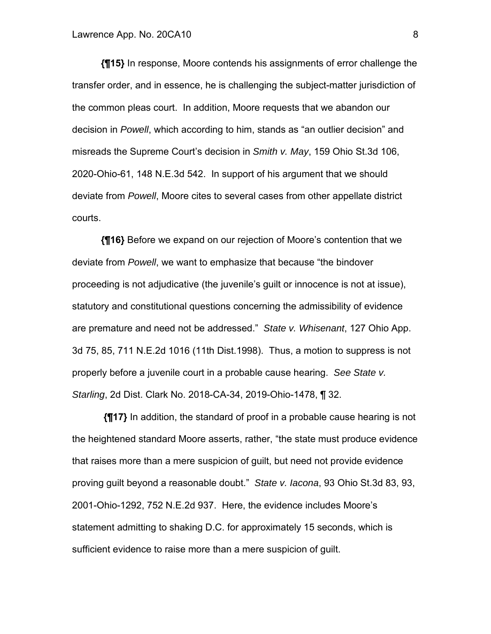**{¶15}** In response, Moore contends his assignments of error challenge the transfer order, and in essence, he is challenging the subject-matter jurisdiction of the common pleas court. In addition, Moore requests that we abandon our decision in *Powell*, which according to him, stands as "an outlier decision" and misreads the Supreme Court's decision in *Smith v. May*, 159 Ohio St.3d 106, 2020-Ohio-61, 148 N.E.3d 542. In support of his argument that we should deviate from *Powell*, Moore cites to several cases from other appellate district courts.

**{¶16}** Before we expand on our rejection of Moore's contention that we deviate from *Powell*, we want to emphasize that because "the bindover proceeding is not adjudicative (the juvenile's guilt or innocence is not at issue), statutory and constitutional questions concerning the admissibility of evidence are premature and need not be addressed." *State v. Whisenant*, 127 Ohio App. 3d 75, 85, 711 N.E.2d 1016 (11th Dist.1998). Thus, a motion to suppress is not properly before a juvenile court in a probable cause hearing. *See State v. Starling*, 2d Dist. Clark No. 2018-CA-34, 2019-Ohio-1478, ¶ 32.

**{¶17}** In addition, the standard of proof in a probable cause hearing is not the heightened standard Moore asserts, rather, "the state must produce evidence that raises more than a mere suspicion of guilt, but need not provide evidence proving guilt beyond a reasonable doubt." *State v. Iacona*, 93 Ohio St.3d 83, 93, 2001-Ohio-1292, 752 N.E.2d 937. Here, the evidence includes Moore's statement admitting to shaking D.C. for approximately 15 seconds, which is sufficient evidence to raise more than a mere suspicion of guilt.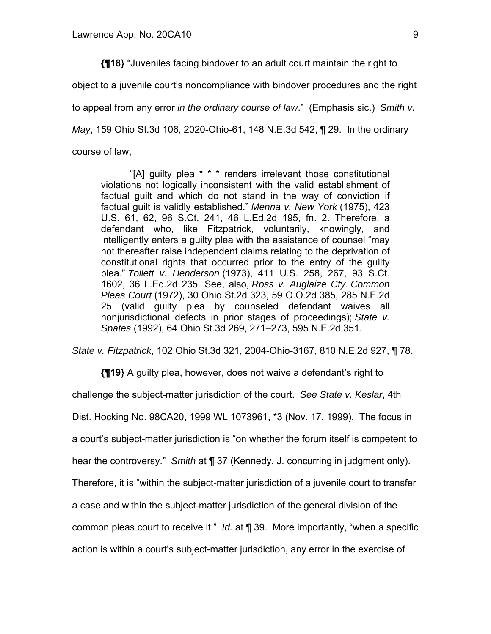**{¶18}** "Juveniles facing bindover to an adult court maintain the right to object to a juvenile court's noncompliance with bindover procedures and the right to appeal from any error *in the ordinary course of law*." (Emphasis sic.) *Smith v. May*, 159 Ohio St.3d 106, 2020-Ohio-61, 148 N.E.3d 542, ¶ 29. In the ordinary course of law,

"[A] guilty plea \* \* \* renders irrelevant those constitutional violations not logically inconsistent with the valid establishment of factual guilt and which do not stand in the way of conviction if factual guilt is validly established." *Menna v. New York* (1975), 423 U.S. 61, 62, 96 S.Ct. 241, 46 L.Ed.2d 195, fn. 2. Therefore, a defendant who, like Fitzpatrick, voluntarily, knowingly, and intelligently enters a guilty plea with the assistance of counsel "may not thereafter raise independent claims relating to the deprivation of constitutional rights that occurred prior to the entry of the guilty plea." *Tollett v. Henderson* (1973), 411 U.S. 258, 267, 93 S.Ct. 1602, 36 L.Ed.2d 235. See, also, *Ross v. Auglaize Cty*. *Common Pleas Court* (1972), 30 Ohio St.2d 323, 59 O.O.2d 385, 285 N.E.2d 25 (valid guilty plea by counseled defendant waives all nonjurisdictional defects in prior stages of proceedings); *State v. Spates* (1992), 64 Ohio St.3d 269, 271–273, 595 N.E.2d 351.

*State v. Fitzpatrick*, 102 Ohio St.3d 321, 2004-Ohio-3167, 810 N.E.2d 927, ¶ 78.

**{¶19}** A guilty plea, however, does not waive a defendant's right to

challenge the subject-matter jurisdiction of the court. *See State v. Keslar*, 4th

Dist. Hocking No. 98CA20, 1999 WL 1073961, \*3 (Nov. 17, 1999). The focus in

a court's subject-matter jurisdiction is "on whether the forum itself is competent to

hear the controversy." *Smith* at ¶ 37 (Kennedy, J. concurring in judgment only).

Therefore, it is "within the subject-matter jurisdiction of a juvenile court to transfer

a case and within the subject-matter jurisdiction of the general division of the

common pleas court to receive it." *Id.* at ¶ 39. More importantly, "when a specific

action is within a court's subject-matter jurisdiction, any error in the exercise of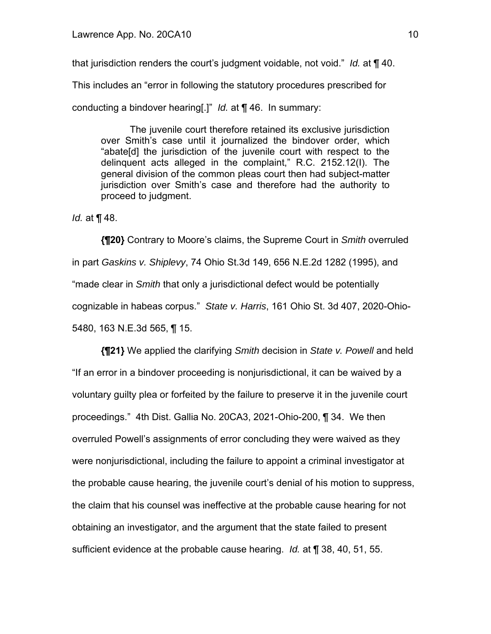that jurisdiction renders the court's judgment voidable, not void." *Id.* at ¶ 40.

This includes an "error in following the statutory procedures prescribed for

conducting a bindover hearing[.]" *Id.* at ¶ 46. In summary:

The juvenile court therefore retained its exclusive jurisdiction over Smith's case until it journalized the bindover order, which "abate[d] the jurisdiction of the juvenile court with respect to the delinquent acts alleged in the complaint," R.C. 2152.12(I). The general division of the common pleas court then had subject-matter jurisdiction over Smith's case and therefore had the authority to proceed to judgment.

*Id.* at ¶ 48.

**{¶20}** Contrary to Moore's claims, the Supreme Court in *Smith* overruled in part *Gaskins v. Shiplevy*, 74 Ohio St.3d 149, 656 N.E.2d 1282 (1995), and "made clear in *Smith* that only a jurisdictional defect would be potentially cognizable in habeas corpus." *State v. Harris*, 161 Ohio St. 3d 407, 2020-Ohio-5480, 163 N.E.3d 565, ¶ 15.

**{¶21}** We applied the clarifying *Smith* decision in *State v. Powell* and held "If an error in a bindover proceeding is nonjurisdictional, it can be waived by a voluntary guilty plea or forfeited by the failure to preserve it in the juvenile court proceedings." 4th Dist. Gallia No. 20CA3, 2021-Ohio-200, ¶ 34. We then overruled Powell's assignments of error concluding they were waived as they were nonjurisdictional, including the failure to appoint a criminal investigator at the probable cause hearing, the juvenile court's denial of his motion to suppress, the claim that his counsel was ineffective at the probable cause hearing for not obtaining an investigator, and the argument that the state failed to present sufficient evidence at the probable cause hearing. *Id.* at ¶ 38, 40, 51, 55.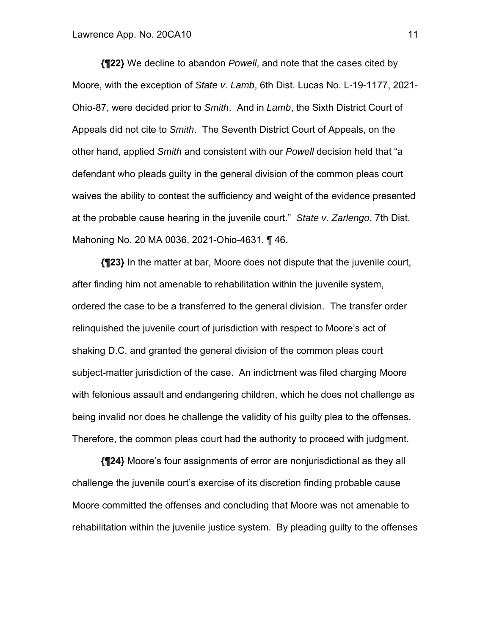**{¶22}** We decline to abandon *Powell*, and note that the cases cited by Moore, with the exception of *State v. Lamb*, 6th Dist. Lucas No. L-19-1177, 2021- Ohio-87, were decided prior to *Smith*. And in *Lamb*, the Sixth District Court of Appeals did not cite to *Smith*. The Seventh District Court of Appeals, on the other hand, applied *Smith* and consistent with our *Powell* decision held that "a defendant who pleads guilty in the general division of the common pleas court waives the ability to contest the sufficiency and weight of the evidence presented at the probable cause hearing in the juvenile court." *State v. Zarlengo*, 7th Dist. Mahoning No. 20 MA 0036, 2021-Ohio-4631, ¶ 46.

**{¶23}** In the matter at bar, Moore does not dispute that the juvenile court, after finding him not amenable to rehabilitation within the juvenile system, ordered the case to be a transferred to the general division. The transfer order relinquished the juvenile court of jurisdiction with respect to Moore's act of shaking D.C. and granted the general division of the common pleas court subject-matter jurisdiction of the case. An indictment was filed charging Moore with felonious assault and endangering children, which he does not challenge as being invalid nor does he challenge the validity of his guilty plea to the offenses. Therefore, the common pleas court had the authority to proceed with judgment.

**{¶24}** Moore's four assignments of error are nonjurisdictional as they all challenge the juvenile court's exercise of its discretion finding probable cause Moore committed the offenses and concluding that Moore was not amenable to rehabilitation within the juvenile justice system. By pleading guilty to the offenses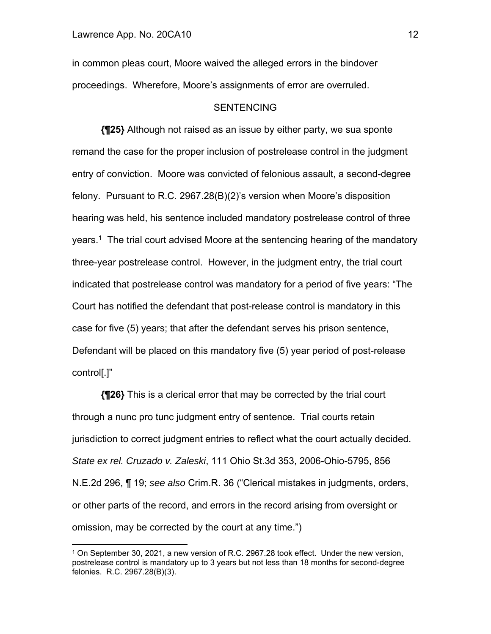in common pleas court, Moore waived the alleged errors in the bindover proceedings. Wherefore, Moore's assignments of error are overruled.

#### **SENTENCING**

**{¶25}** Although not raised as an issue by either party, we sua sponte remand the case for the proper inclusion of postrelease control in the judgment entry of conviction. Moore was convicted of felonious assault, a second-degree felony. Pursuant to R.C. 2967.28(B)(2)'s version when Moore's disposition hearing was held, his sentence included mandatory postrelease control of three years.<sup>1</sup> The trial court advised Moore at the sentencing hearing of the mandatory three-year postrelease control. However, in the judgment entry, the trial court indicated that postrelease control was mandatory for a period of five years: "The Court has notified the defendant that post-release control is mandatory in this case for five (5) years; that after the defendant serves his prison sentence, Defendant will be placed on this mandatory five (5) year period of post-release control[.]"

**{¶26}** This is a clerical error that may be corrected by the trial court through a nunc pro tunc judgment entry of sentence. Trial courts retain jurisdiction to correct judgment entries to reflect what the court actually decided. *State ex rel. Cruzado v. Zaleski*, 111 Ohio St.3d 353, 2006-Ohio-5795, 856 N.E.2d 296, ¶ 19; *see also* Crim.R. 36 ("Clerical mistakes in judgments, orders, or other parts of the record, and errors in the record arising from oversight or omission, may be corrected by the court at any time.")

<sup>1</sup> On September 30, 2021, a new version of R.C. 2967.28 took effect. Under the new version, postrelease control is mandatory up to 3 years but not less than 18 months for second-degree felonies. R.C. 2967.28(B)(3).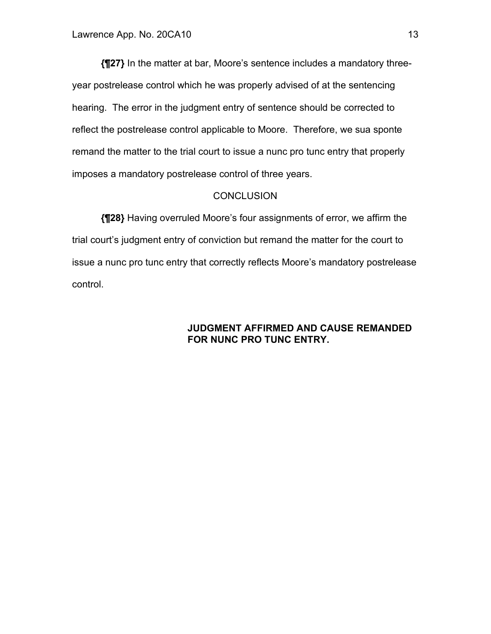**{¶27}** In the matter at bar, Moore's sentence includes a mandatory threeyear postrelease control which he was properly advised of at the sentencing hearing. The error in the judgment entry of sentence should be corrected to reflect the postrelease control applicable to Moore. Therefore, we sua sponte remand the matter to the trial court to issue a nunc pro tunc entry that properly imposes a mandatory postrelease control of three years.

## **CONCLUSION**

**{¶28}** Having overruled Moore's four assignments of error, we affirm the trial court's judgment entry of conviction but remand the matter for the court to issue a nunc pro tunc entry that correctly reflects Moore's mandatory postrelease control.

## **JUDGMENT AFFIRMED AND CAUSE REMANDED FOR NUNC PRO TUNC ENTRY.**